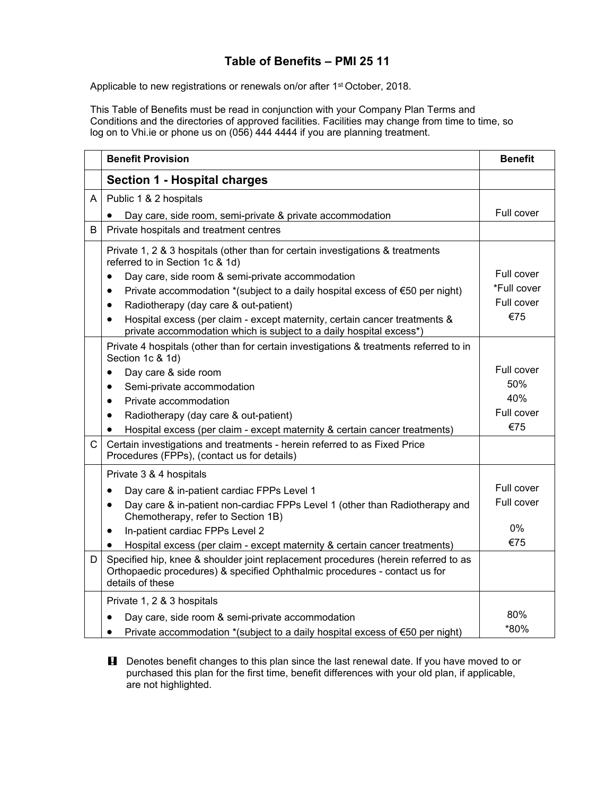## **Table of Benefits – PMI 25 11**

Applicable to new registrations or renewals on/or after 1<sup>st</sup> October, 2018.

This Table of Benefits must be read in conjunction with your Company Plan Terms and Conditions and the directories of approved facilities. Facilities may change from time to time, so log on to Vhi.ie or phone us on (056) 444 4444 if you are planning treatment.

|              | <b>Benefit Provision</b>                                                                                                                                                             | <b>Benefit</b> |
|--------------|--------------------------------------------------------------------------------------------------------------------------------------------------------------------------------------|----------------|
|              | <b>Section 1 - Hospital charges</b>                                                                                                                                                  |                |
| A            | Public 1 & 2 hospitals                                                                                                                                                               |                |
|              | Day care, side room, semi-private & private accommodation                                                                                                                            | Full cover     |
| B            | Private hospitals and treatment centres                                                                                                                                              |                |
|              | Private 1, 2 & 3 hospitals (other than for certain investigations & treatments<br>referred to in Section 1c & 1d)                                                                    |                |
|              | Day care, side room & semi-private accommodation<br>$\bullet$                                                                                                                        | Full cover     |
|              | Private accommodation *(subject to a daily hospital excess of $\epsilon$ 50 per night)<br>$\bullet$                                                                                  | *Full cover    |
|              | Radiotherapy (day care & out-patient)<br>$\bullet$                                                                                                                                   | Full cover     |
|              | Hospital excess (per claim - except maternity, certain cancer treatments &<br>$\bullet$<br>private accommodation which is subject to a daily hospital excess*)                       | €75            |
|              | Private 4 hospitals (other than for certain investigations & treatments referred to in<br>Section 1c & 1d)                                                                           |                |
|              | Day care & side room<br>$\bullet$                                                                                                                                                    | Full cover     |
|              | Semi-private accommodation<br>$\bullet$                                                                                                                                              | 50%            |
|              | Private accommodation<br>$\bullet$                                                                                                                                                   | 40%            |
|              | Radiotherapy (day care & out-patient)<br>$\bullet$                                                                                                                                   | Full cover     |
|              | Hospital excess (per claim - except maternity & certain cancer treatments)<br>$\bullet$                                                                                              | €75            |
| $\mathsf{C}$ | Certain investigations and treatments - herein referred to as Fixed Price<br>Procedures (FPPs), (contact us for details)                                                             |                |
|              | Private 3 & 4 hospitals                                                                                                                                                              |                |
|              | Day care & in-patient cardiac FPPs Level 1<br>$\bullet$                                                                                                                              | Full cover     |
|              | Day care & in-patient non-cardiac FPPs Level 1 (other than Radiotherapy and<br>$\bullet$<br>Chemotherapy, refer to Section 1B)                                                       | Full cover     |
|              | In-patient cardiac FPPs Level 2<br>$\bullet$                                                                                                                                         | 0%             |
|              | Hospital excess (per claim - except maternity & certain cancer treatments)<br>$\bullet$                                                                                              | €75            |
| D            | Specified hip, knee & shoulder joint replacement procedures (herein referred to as<br>Orthopaedic procedures) & specified Ophthalmic procedures - contact us for<br>details of these |                |
|              | Private 1, 2 & 3 hospitals                                                                                                                                                           |                |
|              | Day care, side room & semi-private accommodation                                                                                                                                     | 80%            |
|              | Private accommodation *(subject to a daily hospital excess of $\epsilon$ 50 per night)<br>$\bullet$                                                                                  | *80%           |

**H** Denotes benefit changes to this plan since the last renewal date. If you have moved to or purchased this plan for the first time, benefit differences with your old plan, if applicable, are not highlighted.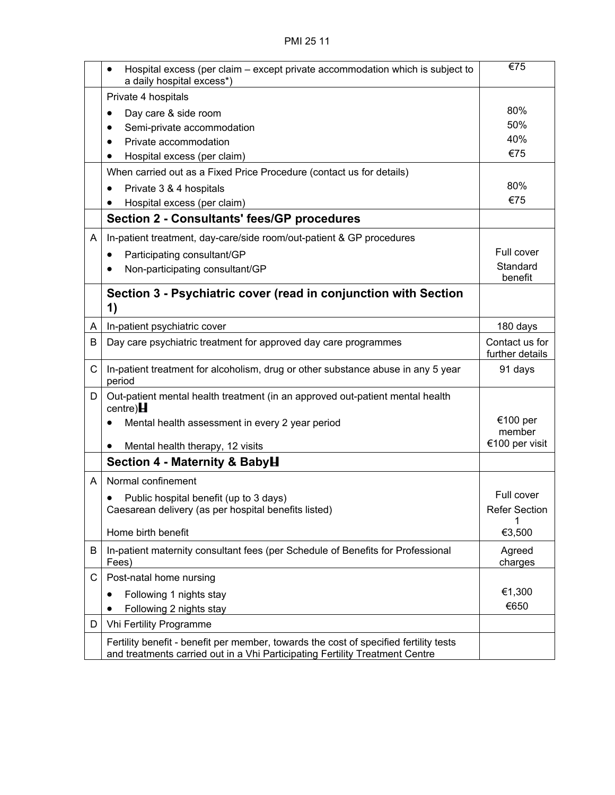|              | Hospital excess (per claim – except private accommodation which is subject to<br>a daily hospital excess*) | €75                               |
|--------------|------------------------------------------------------------------------------------------------------------|-----------------------------------|
|              | Private 4 hospitals                                                                                        |                                   |
|              | Day care & side room<br>$\bullet$                                                                          | 80%                               |
|              | Semi-private accommodation                                                                                 | 50%                               |
|              | Private accommodation                                                                                      | 40%                               |
|              | Hospital excess (per claim)                                                                                | €75                               |
|              | When carried out as a Fixed Price Procedure (contact us for details)                                       |                                   |
|              | Private 3 & 4 hospitals                                                                                    | 80%                               |
|              | Hospital excess (per claim)                                                                                | €75                               |
|              | <b>Section 2 - Consultants' fees/GP procedures</b>                                                         |                                   |
| A            | In-patient treatment, day-care/side room/out-patient & GP procedures                                       |                                   |
|              | Participating consultant/GP                                                                                | Full cover                        |
|              | Non-participating consultant/GP                                                                            | Standard<br>benefit               |
|              | Section 3 - Psychiatric cover (read in conjunction with Section<br>1)                                      |                                   |
| A            | In-patient psychiatric cover                                                                               | 180 days                          |
| B            | Day care psychiatric treatment for approved day care programmes                                            | Contact us for<br>further details |
| $\mathsf{C}$ | In-patient treatment for alcoholism, drug or other substance abuse in any 5 year<br>period                 | 91 days                           |
| D            | Out-patient mental health treatment (in an approved out-patient mental health<br>centre) $\blacksquare$    |                                   |
|              | Mental health assessment in every 2 year period                                                            | €100 per<br>member                |
|              | Mental health therapy, 12 visits                                                                           | €100 per visit                    |
|              | Section 4 - Maternity & BabyH                                                                              |                                   |
| A            | Normal confinement                                                                                         |                                   |
|              |                                                                                                            | Full cover                        |
|              | Public hospital benefit (up to 3 days)<br>Caesarean delivery (as per hospital benefits listed)             | <b>Refer Section</b>              |
|              |                                                                                                            | 1                                 |
|              | Home birth benefit                                                                                         | €3,500                            |
| B            | In-patient maternity consultant fees (per Schedule of Benefits for Professional<br>Fees)                   | Agreed<br>charges                 |
| C            | Post-natal home nursing                                                                                    |                                   |
|              | Following 1 nights stay                                                                                    | €1,300                            |
|              | Following 2 nights stay                                                                                    | €650                              |
| D            | Vhi Fertility Programme                                                                                    |                                   |
|              | Fertility benefit - benefit per member, towards the cost of specified fertility tests                      |                                   |
|              | and treatments carried out in a Vhi Participating Fertility Treatment Centre                               |                                   |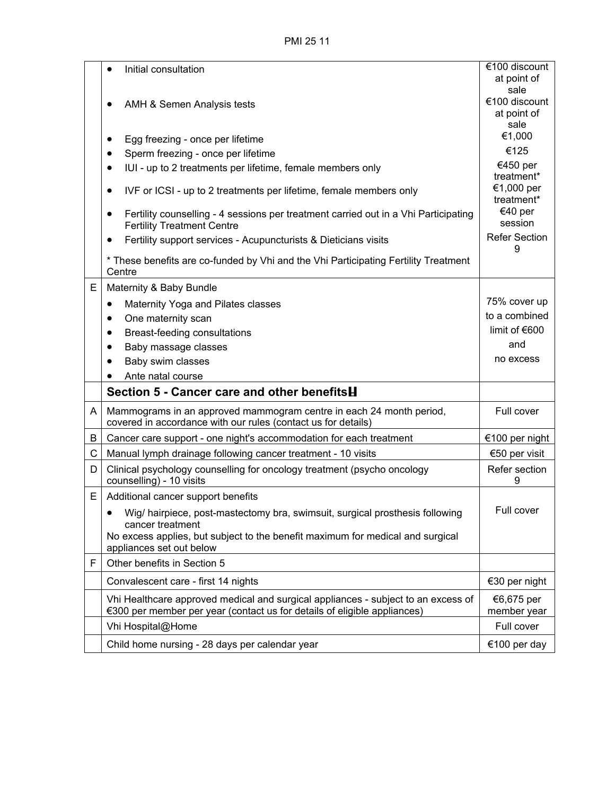PMI 25 11

|   | Initial consultation                                                                                                                                                                            | $\sqrt{\epsilon}$ 100 discount<br>at point of<br>sale |
|---|-------------------------------------------------------------------------------------------------------------------------------------------------------------------------------------------------|-------------------------------------------------------|
|   | AMH & Semen Analysis tests                                                                                                                                                                      | €100 discount<br>at point of<br>sale                  |
|   | Egg freezing - once per lifetime                                                                                                                                                                | €1,000                                                |
|   | Sperm freezing - once per lifetime<br>$\bullet$                                                                                                                                                 | €125                                                  |
|   | IUI - up to 2 treatments per lifetime, female members only                                                                                                                                      | €450 per<br>treatment*                                |
|   | IVF or ICSI - up to 2 treatments per lifetime, female members only<br>٠                                                                                                                         | €1,000 per<br>treatment*                              |
|   | Fertility counselling - 4 sessions per treatment carried out in a Vhi Participating<br><b>Fertility Treatment Centre</b>                                                                        | €40 per<br>session                                    |
|   | Fertility support services - Acupuncturists & Dieticians visits                                                                                                                                 | <b>Refer Section</b><br>9                             |
|   | * These benefits are co-funded by Vhi and the Vhi Participating Fertility Treatment<br>Centre                                                                                                   |                                                       |
| E | Maternity & Baby Bundle                                                                                                                                                                         |                                                       |
|   | Maternity Yoga and Pilates classes<br>٠                                                                                                                                                         | 75% cover up                                          |
|   | One maternity scan<br>٠                                                                                                                                                                         | to a combined                                         |
|   | Breast-feeding consultations<br>$\bullet$                                                                                                                                                       | limit of €600                                         |
|   | Baby massage classes                                                                                                                                                                            | and                                                   |
|   |                                                                                                                                                                                                 |                                                       |
|   | Baby swim classes                                                                                                                                                                               | no excess                                             |
|   | Ante natal course                                                                                                                                                                               |                                                       |
|   | Section 5 - Cancer care and other benefits H                                                                                                                                                    |                                                       |
| A | Mammograms in an approved mammogram centre in each 24 month period,<br>covered in accordance with our rules (contact us for details)                                                            | Full cover                                            |
| B | Cancer care support - one night's accommodation for each treatment                                                                                                                              | €100 per night                                        |
| С | Manual lymph drainage following cancer treatment - 10 visits                                                                                                                                    | €50 per visit                                         |
| D | Clinical psychology counselling for oncology treatment (psycho oncology<br>counselling) - 10 visits                                                                                             | Refer section<br>9                                    |
| E | Additional cancer support benefits                                                                                                                                                              |                                                       |
|   | Wig/ hairpiece, post-mastectomy bra, swimsuit, surgical prosthesis following<br>$\bullet$<br>cancer treatment<br>No excess applies, but subject to the benefit maximum for medical and surgical | Full cover                                            |
|   | appliances set out below                                                                                                                                                                        |                                                       |
| F | Other benefits in Section 5                                                                                                                                                                     |                                                       |
|   | Convalescent care - first 14 nights                                                                                                                                                             | €30 per night                                         |
|   | Vhi Healthcare approved medical and surgical appliances - subject to an excess of<br>€300 per member per year (contact us for details of eligible appliances)                                   | €6,675 per<br>member year                             |
|   | Vhi Hospital@Home                                                                                                                                                                               | Full cover                                            |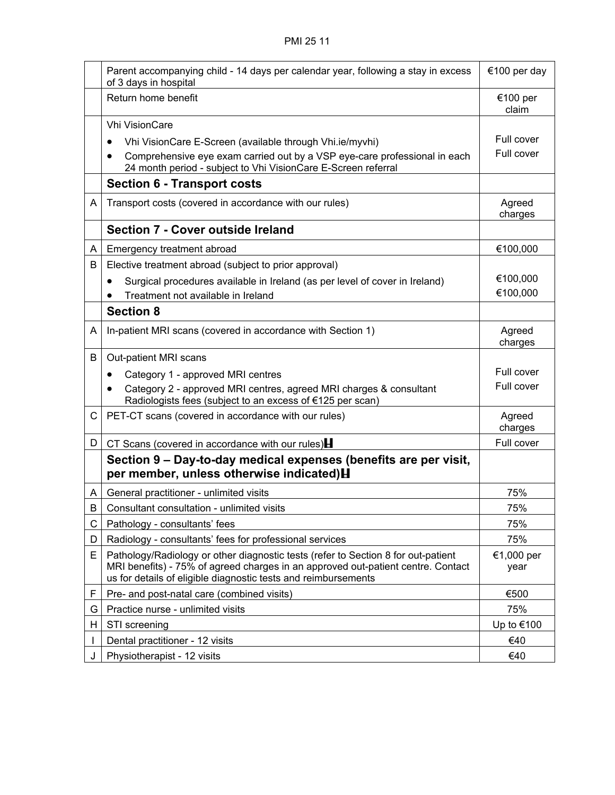|    | Parent accompanying child - 14 days per calendar year, following a stay in excess<br>of 3 days in hospital                                                                                                                              | €100 per day       |
|----|-----------------------------------------------------------------------------------------------------------------------------------------------------------------------------------------------------------------------------------------|--------------------|
|    | Return home benefit                                                                                                                                                                                                                     | €100 per<br>claim  |
|    | <b>Vhi VisionCare</b>                                                                                                                                                                                                                   |                    |
|    | Vhi VisionCare E-Screen (available through Vhi.ie/myvhi)                                                                                                                                                                                | Full cover         |
|    | Comprehensive eye exam carried out by a VSP eye-care professional in each<br>$\bullet$<br>24 month period - subject to Vhi VisionCare E-Screen referral                                                                                 | Full cover         |
|    | <b>Section 6 - Transport costs</b>                                                                                                                                                                                                      |                    |
| A  | Transport costs (covered in accordance with our rules)                                                                                                                                                                                  | Agreed<br>charges  |
|    | Section 7 - Cover outside Ireland                                                                                                                                                                                                       |                    |
| A  | Emergency treatment abroad                                                                                                                                                                                                              | €100,000           |
| B  | Elective treatment abroad (subject to prior approval)                                                                                                                                                                                   |                    |
|    | Surgical procedures available in Ireland (as per level of cover in Ireland)<br>$\bullet$                                                                                                                                                | €100,000           |
|    | Treatment not available in Ireland                                                                                                                                                                                                      | €100,000           |
|    | <b>Section 8</b>                                                                                                                                                                                                                        |                    |
| A  | In-patient MRI scans (covered in accordance with Section 1)                                                                                                                                                                             | Agreed<br>charges  |
| B  | Out-patient MRI scans                                                                                                                                                                                                                   |                    |
|    | Category 1 - approved MRI centres<br>٠                                                                                                                                                                                                  | Full cover         |
|    | Category 2 - approved MRI centres, agreed MRI charges & consultant<br>٠<br>Radiologists fees (subject to an excess of €125 per scan)                                                                                                    | Full cover         |
| C. | PET-CT scans (covered in accordance with our rules)                                                                                                                                                                                     | Agreed<br>charges  |
| D  | CT Scans (covered in accordance with our rules) $\blacksquare$                                                                                                                                                                          | Full cover         |
|    | Section 9 – Day-to-day medical expenses (benefits are per visit,<br>per member, unless otherwise indicated) H                                                                                                                           |                    |
| A  | General practitioner - unlimited visits                                                                                                                                                                                                 | 75%                |
| B  | Consultant consultation - unlimited visits                                                                                                                                                                                              | 75%                |
| С  | Pathology - consultants' fees                                                                                                                                                                                                           | 75%                |
| D  | Radiology - consultants' fees for professional services                                                                                                                                                                                 | 75%                |
| E  | Pathology/Radiology or other diagnostic tests (refer to Section 8 for out-patient<br>MRI benefits) - 75% of agreed charges in an approved out-patient centre. Contact<br>us for details of eligible diagnostic tests and reimbursements | €1,000 per<br>year |
| F  | Pre- and post-natal care (combined visits)                                                                                                                                                                                              | €500               |
| G  | Practice nurse - unlimited visits                                                                                                                                                                                                       | 75%                |
| H  | STI screening                                                                                                                                                                                                                           | Up to €100         |
|    | Dental practitioner - 12 visits                                                                                                                                                                                                         | €40                |
|    | Physiotherapist - 12 visits                                                                                                                                                                                                             | €40                |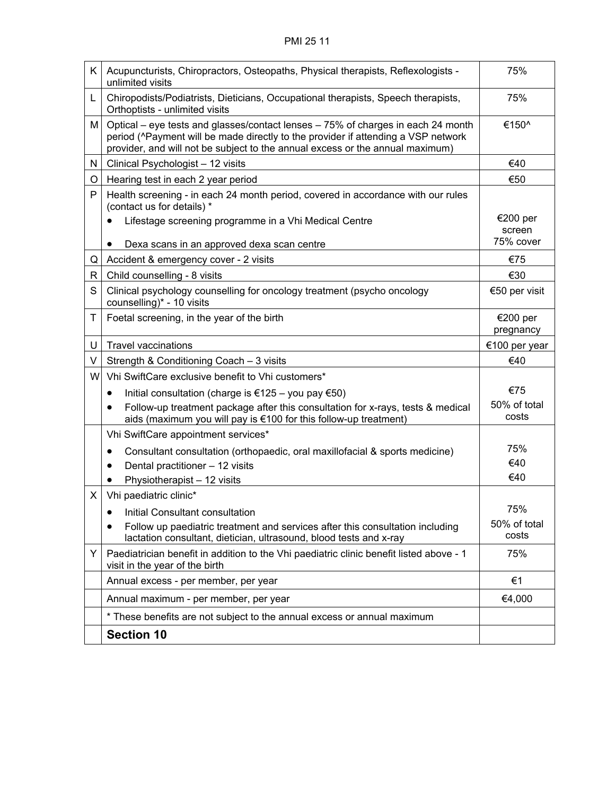| K. | Acupuncturists, Chiropractors, Osteopaths, Physical therapists, Reflexologists -<br>unlimited visits                                                                                                                                                   | 75%                   |
|----|--------------------------------------------------------------------------------------------------------------------------------------------------------------------------------------------------------------------------------------------------------|-----------------------|
| L  | Chiropodists/Podiatrists, Dieticians, Occupational therapists, Speech therapists,<br>Orthoptists - unlimited visits                                                                                                                                    | 75%                   |
| Μ  | Optical – eye tests and glasses/contact lenses – 75% of charges in each 24 month<br>period (^Payment will be made directly to the provider if attending a VSP network<br>provider, and will not be subject to the annual excess or the annual maximum) | €150^                 |
| N  | Clinical Psychologist - 12 visits                                                                                                                                                                                                                      | €40                   |
| O  | Hearing test in each 2 year period                                                                                                                                                                                                                     | €50                   |
| P  | Health screening - in each 24 month period, covered in accordance with our rules<br>(contact us for details) *                                                                                                                                         |                       |
|    | Lifestage screening programme in a Vhi Medical Centre                                                                                                                                                                                                  | €200 per              |
|    | Dexa scans in an approved dexa scan centre<br>$\bullet$                                                                                                                                                                                                | screen<br>75% cover   |
| Q  | Accident & emergency cover - 2 visits                                                                                                                                                                                                                  | €75                   |
| R  | Child counselling - 8 visits                                                                                                                                                                                                                           | €30                   |
| S  | Clinical psychology counselling for oncology treatment (psycho oncology<br>counselling)* - 10 visits                                                                                                                                                   | €50 per visit         |
| Т  | Foetal screening, in the year of the birth                                                                                                                                                                                                             | €200 per              |
|    |                                                                                                                                                                                                                                                        | pregnancy             |
| U  | <b>Travel vaccinations</b>                                                                                                                                                                                                                             | €100 per year         |
| V  | Strength & Conditioning Coach - 3 visits                                                                                                                                                                                                               | €40                   |
| W  | Vhi SwiftCare exclusive benefit to Vhi customers*                                                                                                                                                                                                      |                       |
|    | Initial consultation (charge is €125 – you pay €50)<br>٠                                                                                                                                                                                               | €75                   |
|    | Follow-up treatment package after this consultation for x-rays, tests & medical<br>aids (maximum you will pay is €100 for this follow-up treatment)                                                                                                    | 50% of total<br>costs |
|    | Vhi SwiftCare appointment services*                                                                                                                                                                                                                    |                       |
|    | Consultant consultation (orthopaedic, oral maxillofacial & sports medicine)<br>$\bullet$                                                                                                                                                               | 75%                   |
|    | Dental practitioner - 12 visits                                                                                                                                                                                                                        | €40                   |
|    | Physiotherapist - 12 visits                                                                                                                                                                                                                            | €40                   |
| X. | Vhi paediatric clinic*                                                                                                                                                                                                                                 |                       |
|    | Initial Consultant consultation                                                                                                                                                                                                                        | 75%                   |
|    | Follow up paediatric treatment and services after this consultation including<br>lactation consultant, dietician, ultrasound, blood tests and x-ray                                                                                                    | 50% of total<br>costs |
| Y  | Paediatrician benefit in addition to the Vhi paediatric clinic benefit listed above - 1<br>visit in the year of the birth                                                                                                                              | 75%                   |
|    | Annual excess - per member, per year                                                                                                                                                                                                                   | €1                    |
|    | Annual maximum - per member, per year                                                                                                                                                                                                                  | €4,000                |
|    | * These benefits are not subject to the annual excess or annual maximum                                                                                                                                                                                |                       |
|    | <b>Section 10</b>                                                                                                                                                                                                                                      |                       |